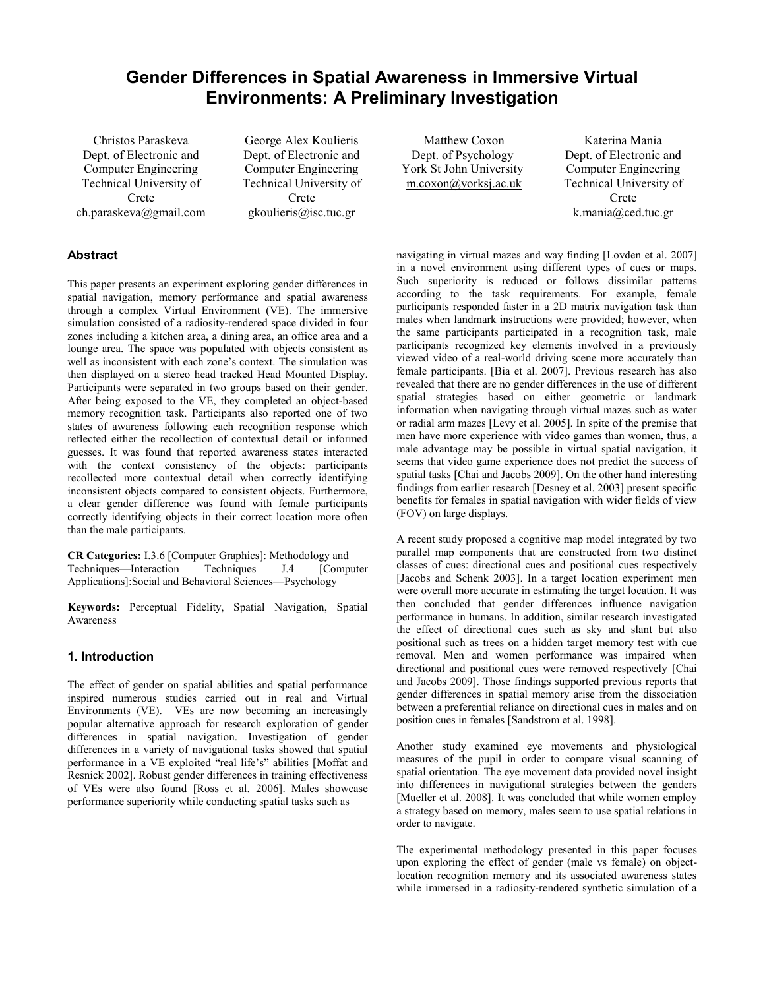# **Gender Differences in Spatial Awareness in Immersive Virtual Environments: A Preliminary Investigation**

Christos Paraskeva Dept. of Electronic and Computer Engineering Technical University of Crete ch.paraskeva@gmail.com

George Alex Koulieris Dept. of Electronic and Computer Engineering Technical University of Crete gkoulieris@isc.tuc.gr

Matthew Coxon Dept. of Psychology York St John University [m.coxon@yorksj.ac.uk](mailto:m.coxon@yorksj.ac.uk)

Katerina Mania Dept. of Electronic and Computer Engineering Technical University of Crete k.mania@ced.tuc.gr

## **Abstract**

This paper presents an experiment exploring gender differences in spatial navigation, memory performance and spatial awareness through a complex Virtual Environment (VE). The immersive simulation consisted of a radiosity-rendered space divided in four zones including a kitchen area, a dining area, an office area and a lounge area. The space was populated with objects consistent as well as inconsistent with each zone's context. The simulation was then displayed on a stereo head tracked Head Mounted Display. Participants were separated in two groups based on their gender. After being exposed to the VE, they completed an object-based memory recognition task. Participants also reported one of two states of awareness following each recognition response which reflected either the recollection of contextual detail or informed guesses. It was found that reported awareness states interacted with the context consistency of the objects: participants recollected more contextual detail when correctly identifying inconsistent objects compared to consistent objects. Furthermore, a clear gender difference was found with female participants correctly identifying objects in their correct location more often than the male participants.

**CR Categories:** I.3.6 [Computer Graphics]: Methodology and Techniques—Interaction Techniques J.4 [Computer Applications]:Social and Behavioral Sciences—Psychology

**Keywords:** Perceptual Fidelity, Spatial Navigation, Spatial Awareness

### **1. Introduction**

The effect of gender on spatial abilities and spatial performance inspired numerous studies carried out in real and Virtual Environments (VE). VEs are now becoming an increasingly popular alternative approach for research exploration of gender differences in spatial navigation. Investigation of gender differences in a variety of navigational tasks showed that spatial performance in a VE exploited "real life's" abilities [Moffat and Resnick 2002]. Robust gender differences in training effectiveness of VEs were also found [Ross et al. 2006]. Males showcase performance superiority while conducting spatial tasks such as

navigating in virtual mazes and way finding [Lovden et al. 2007] in a novel environment using different types of cues or maps. Such superiority is reduced or follows dissimilar patterns according to the task requirements. For example, female participants responded faster in a 2D matrix navigation task than males when landmark instructions were provided; however, when the same participants participated in a recognition task, male participants recognized key elements involved in a previously viewed video of a real-world driving scene more accurately than female participants. [Bia et al. 2007]. Previous research has also revealed that there are no gender differences in the use of different spatial strategies based on either geometric or landmark information when navigating through virtual mazes such as water or radial arm mazes [Levy et al. 2005]. In spite of the premise that men have more experience with video games than women, thus, a male advantage may be possible in virtual spatial navigation, it seems that video game experience does not predict the success of spatial tasks [Chai and Jacobs 2009]. On the other hand interesting findings from earlier research [Desney et al. 2003] present specific benefits for females in spatial navigation with wider fields of view (FOV) on large displays.

A recent study proposed a cognitive map model integrated by two parallel map components that are constructed from two distinct classes of cues: directional cues and positional cues respectively [Jacobs and Schenk 2003]. In a target location experiment men were overall more accurate in estimating the target location. It was then concluded that gender differences influence navigation performance in humans. In addition, similar research investigated the effect of directional cues such as sky and slant but also positional such as trees on a hidden target memory test with cue removal. Men and women performance was impaired when directional and positional cues were removed respectively [Chai and Jacobs 2009]. Those findings supported previous reports that gender differences in spatial memory arise from the dissociation between a preferential reliance on directional cues in males and on position cues in females [Sandstrom et al. 1998].

Another study examined eye movements and physiological measures of the pupil in order to compare visual scanning of spatial orientation. The eye movement data provided novel insight into differences in navigational strategies between the genders [Mueller et al. 2008]. It was concluded that while women employ a strategy based on memory, males seem to use spatial relations in order to navigate.

The experimental methodology presented in this paper focuses upon exploring the effect of gender (male vs female) on objectlocation recognition memory and its associated awareness states while immersed in a radiosity-rendered synthetic simulation of a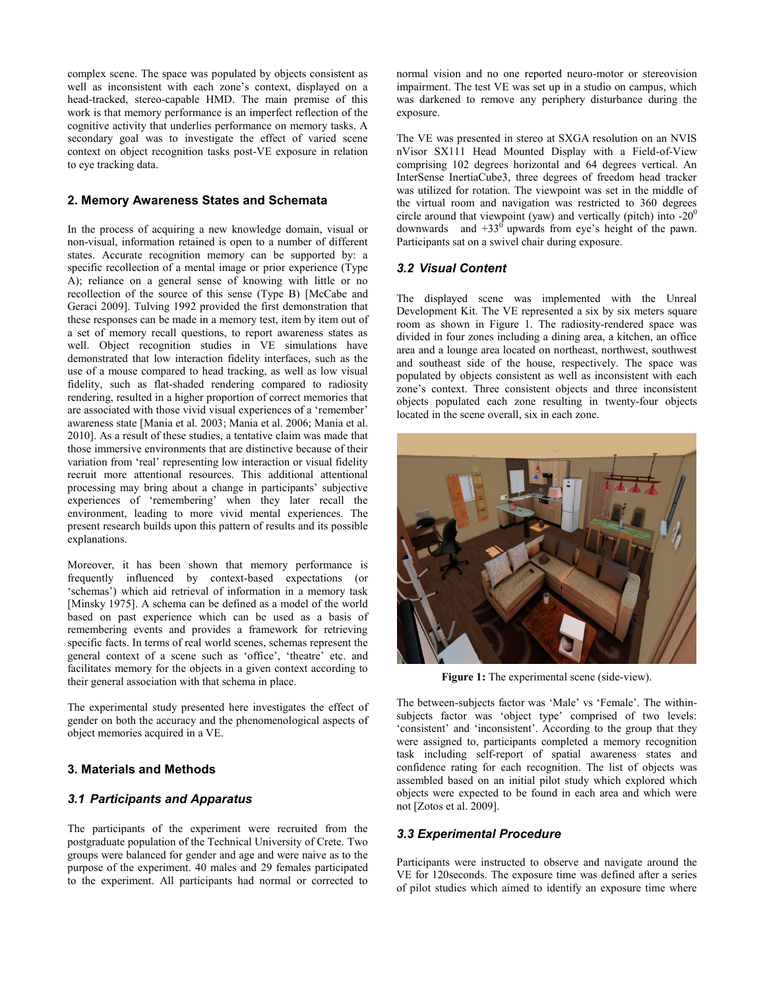complex scene. The space was populated by objects consistent as well as inconsistent with each zone's context, displayed on a head-tracked, stereo-capable HMD. The main premise of this work is that memory performance is an imperfect reflection of the cognitive activity that underlies performance on memory tasks. A secondary goal was to investigate the effect of varied scene context on object recognition tasks post-VE exposure in relation to eye tracking data.

#### **2. Memory Awareness States and Schemata**

In the process of acquiring a new knowledge domain, visual or non-visual, information retained is open to a number of different states. Accurate recognition memory can be supported by: a specific recollection of a mental image or prior experience (Type A); reliance on a general sense of knowing with little or no recollection of the source of this sense (Type B) [McCabe and Geraci 2009]. Tulving 1992 provided the first demonstration that these responses can be made in a memory test, item by item out of a set of memory recall questions, to report awareness states as well. Object recognition studies in VE simulations have demonstrated that low interaction fidelity interfaces, such as the use of a mouse compared to head tracking, as well as low visual fidelity, such as flat-shaded rendering compared to radiosity rendering, resulted in a higher proportion of correct memories that are associated with those vivid visual experiences of a 'remember' awareness state [Mania et al. 2003; Mania et al. 2006; Mania et al. 2010]. As a result of these studies, a tentative claim was made that those immersive environments that are distinctive because of their variation from 'real' representing low interaction or visual fidelity recruit more attentional resources. This additional attentional processing may bring about a change in participants' subjective experiences of 'remembering' when they later recall the environment, leading to more vivid mental experiences. The present research builds upon this pattern of results and its possible explanations.

Moreover, it has been shown that memory performance is frequently influenced by context-based expectations (or 'schemas') which aid retrieval of information in a memory task [Minsky 1975]. A schema can be defined as a model of the world based on past experience which can be used as a basis of remembering events and provides a framework for retrieving specific facts. In terms of real world scenes, schemas represent the general context of a scene such as 'office', 'theatre' etc. and facilitates memory for the objects in a given context according to their general association with that schema in place.

The experimental study presented here investigates the effect of gender on both the accuracy and the phenomenological aspects of object memories acquired in a VE.

## **3. Materials and Methods**

### *3.1 Participants and Apparatus*

The participants of the experiment were recruited from the postgraduate population of the Technical University of Crete. Two groups were balanced for gender and age and were naive as to the purpose of the experiment. 40 males and 29 females participated to the experiment. All participants had normal or corrected to normal vision and no one reported neuro-motor or stereovision impairment. The test VE was set up in a studio on campus, which was darkened to remove any periphery disturbance during the exposure.

The VE was presented in stereo at SXGA resolution on an NVIS nVisor SX111 Head Mounted Display with a Field-of-View comprising 102 degrees horizontal and 64 degrees vertical. An InterSense InertiaCube3, three degrees of freedom head tracker was utilized for rotation. The viewpoint was set in the middle of the virtual room and navigation was restricted to 360 degrees circle around that viewpoint (yaw) and vertically (pitch) into  $-20^0$ downwards and  $+33^{\circ}$  upwards from eye's height of the pawn. Participants sat on a swivel chair during exposure.

### *3.2 Visual Content*

The displayed scene was implemented with the Unreal Development Kit. The VE represented a six by six meters square room as shown in Figure 1. The radiosity-rendered space was divided in four zones including a dining area, a kitchen, an office area and a lounge area located on northeast, northwest, southwest and southeast side of the house, respectively. The space was populated by objects consistent as well as inconsistent with each zone's context. Three consistent objects and three inconsistent objects populated each zone resulting in twenty-four objects located in the scene overall, six in each zone.



Figure 1: The experimental scene (side-view).

The between-subjects factor was 'Male' vs 'Female'. The withinsubjects factor was 'object type' comprised of two levels: 'consistent' and 'inconsistent'. According to the group that they were assigned to, participants completed a memory recognition task including self-report of spatial awareness states and confidence rating for each recognition. The list of objects was assembled based on an initial pilot study which explored which objects were expected to be found in each area and which were not [Zotos et al. 2009].

### *3.3 Experimental Procedure*

Participants were instructed to observe and navigate around the VE for 120seconds. The exposure time was defined after a series of pilot studies which aimed to identify an exposure time where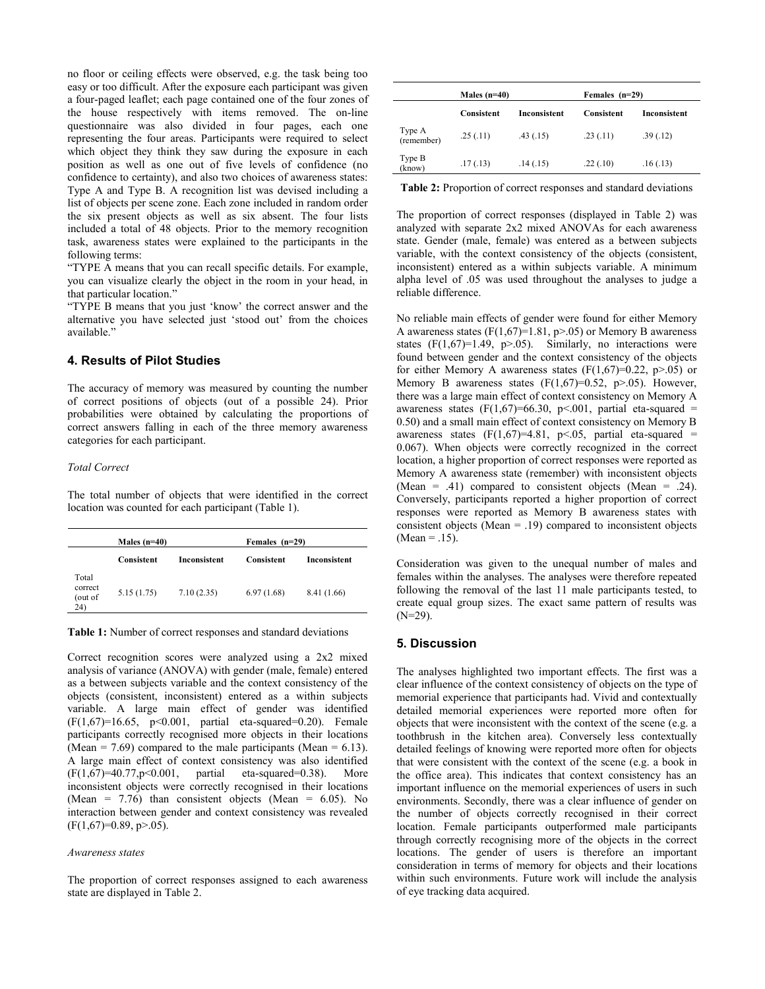no floor or ceiling effects were observed, e.g. the task being too easy or too difficult. After the exposure each participant was given a four-paged leaflet; each page contained one of the four zones of the house respectively with items removed. The on-line questionnaire was also divided in four pages, each one representing the four areas. Participants were required to select which object they think they saw during the exposure in each position as well as one out of five levels of confidence (no confidence to certainty), and also two choices of awareness states: Type A and Type B. A recognition list was devised including a list of objects per scene zone. Each zone included in random order the six present objects as well as six absent. The four lists included a total of 48 objects. Prior to the memory recognition task, awareness states were explained to the participants in the following terms:

"TYPE A means that you can recall specific details. For example, you can visualize clearly the object in the room in your head, in that particular location."

"TYPE B means that you just 'know' the correct answer and the alternative you have selected just 'stood out' from the choices available."

#### **4. Results of Pilot Studies**

The accuracy of memory was measured by counting the number of correct positions of objects (out of a possible 24). Prior probabilities were obtained by calculating the proportions of correct answers falling in each of the three memory awareness categories for each participant.

#### *Total Correct*

The total number of objects that were identified in the correct location was counted for each participant (Table 1).

|                                    | Males $(n=40)$ |                     | Females $(n=29)$ |                     |
|------------------------------------|----------------|---------------------|------------------|---------------------|
|                                    | Consistent     | <b>Inconsistent</b> | Consistent       | <b>Inconsistent</b> |
| Total<br>correct<br>(out of<br>24` | 5.15(1.75)     | 7.10(2.35)          | 6.97(1.68)       | 8.41 (1.66)         |

| <b>Table 1:</b> Number of correct responses and standard deviations |  |  |
|---------------------------------------------------------------------|--|--|
|---------------------------------------------------------------------|--|--|

Correct recognition scores were analyzed using a 2x2 mixed analysis of variance (ANOVA) with gender (male, female) entered as a between subjects variable and the context consistency of the objects (consistent, inconsistent) entered as a within subjects variable. A large main effect of gender was identified  $(F(1,67)=16.65, p<0.001,$  partial eta-squared=0.20). Female participants correctly recognised more objects in their locations (Mean =  $7.69$ ) compared to the male participants (Mean =  $6.13$ ). A large main effect of context consistency was also identified (F(1,67)=40.77,p<0.001, partial eta-squared=0.38). More inconsistent objects were correctly recognised in their locations (Mean =  $7.76$ ) than consistent objects (Mean =  $6.05$ ). No interaction between gender and context consistency was revealed  $(F(1,67)=0.89, p>0.05)$ .

#### *Awareness states*

The proportion of correct responses assigned to each awareness state are displayed in Table 2.

|                      | Males $(n=40)$ |                     | Females $(n=29)$ |              |
|----------------------|----------------|---------------------|------------------|--------------|
|                      | Consistent     | <b>Inconsistent</b> | Consistent       | Inconsistent |
| Type A<br>(remember) | .25(.11)       | .43(.15)            | .23(.11)         | .39(.12)     |
| Type B<br>(know)     | .17(0.13)      | .14(.15)            | .22(.10)         | .16(0.13)    |

**Table 2:** Proportion of correct responses and standard deviations

The proportion of correct responses (displayed in Table 2) was analyzed with separate 2x2 mixed ANOVAs for each awareness state. Gender (male, female) was entered as a between subjects variable, with the context consistency of the objects (consistent, inconsistent) entered as a within subjects variable. A minimum alpha level of .05 was used throughout the analyses to judge a reliable difference.

No reliable main effects of gender were found for either Memory A awareness states ( $F(1,67)=1.81$ ,  $p>0.05$ ) or Memory B awareness states  $(F(1,67)=1.49, p>0.05)$ . Similarly, no interactions were found between gender and the context consistency of the objects for either Memory A awareness states  $(F(1,67)=0.22, p>0.05)$  or Memory B awareness states  $(F(1,67)=0.52, p>0.05)$ . However, there was a large main effect of context consistency on Memory A awareness states  $(F(1.67)=66.30, p<.001,$  partial eta-squared = 0.50) and a small main effect of context consistency on Memory B awareness states  $(F(1,67)=4.81, p<0.05,$  partial eta-squared = 0.067). When objects were correctly recognized in the correct location, a higher proportion of correct responses were reported as Memory A awareness state (remember) with inconsistent objects (Mean = .41) compared to consistent objects (Mean = .24). Conversely, participants reported a higher proportion of correct responses were reported as Memory B awareness states with consistent objects (Mean = .19) compared to inconsistent objects  $(Mean = .15)$ .

Consideration was given to the unequal number of males and females within the analyses. The analyses were therefore repeated following the removal of the last 11 male participants tested, to create equal group sizes. The exact same pattern of results was  $(N=29)$ .

#### **5. Discussion**

The analyses highlighted two important effects. The first was a clear influence of the context consistency of objects on the type of memorial experience that participants had. Vivid and contextually detailed memorial experiences were reported more often for objects that were inconsistent with the context of the scene (e.g. a toothbrush in the kitchen area). Conversely less contextually detailed feelings of knowing were reported more often for objects that were consistent with the context of the scene (e.g. a book in the office area). This indicates that context consistency has an important influence on the memorial experiences of users in such environments. Secondly, there was a clear influence of gender on the number of objects correctly recognised in their correct location. Female participants outperformed male participants through correctly recognising more of the objects in the correct locations. The gender of users is therefore an important consideration in terms of memory for objects and their locations within such environments. Future work will include the analysis of eye tracking data acquired.